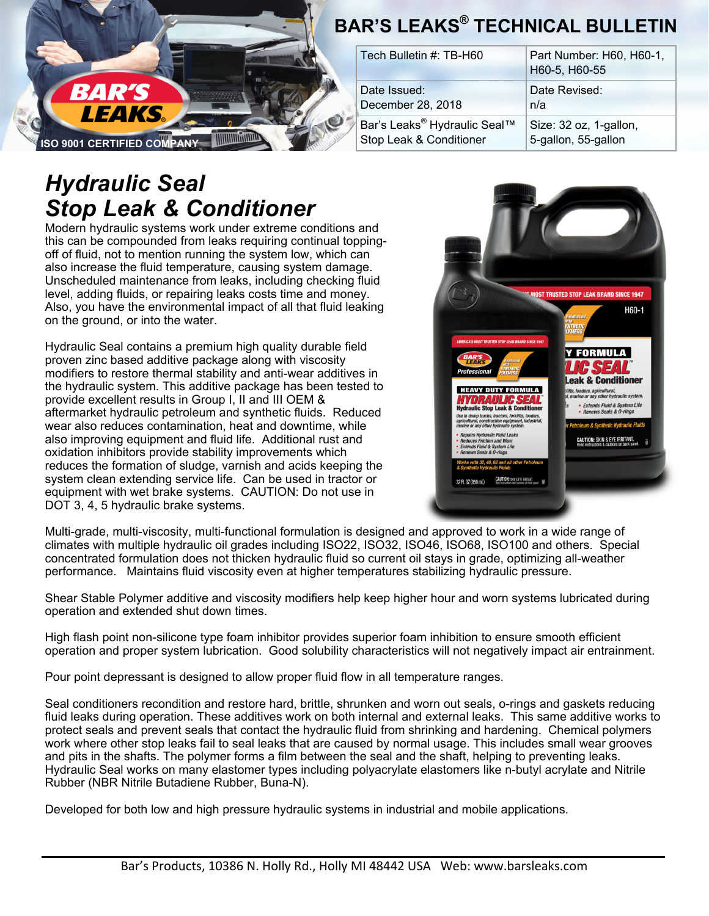

# *Hydraulic Seal Stop Leak & Conditioner*

Modern hydraulic systems work under extreme conditions and this can be compounded from leaks requiring continual toppingoff of fluid, not to mention running the system low, which can also increase the fluid temperature, causing system damage. Unscheduled maintenance from leaks, including checking fluid level, adding fluids, or repairing leaks costs time and money. Also, you have the environmental impact of all that fluid leaking on the ground, or into the water.

Hydraulic Seal contains a premium high quality durable field proven zinc based additive package along with viscosity modifiers to restore thermal stability and anti-wear additives in the hydraulic system. This additive package has been tested to provide excellent results in Group I, II and III OEM & aftermarket hydraulic petroleum and synthetic fluids. Reduced wear also reduces contamination, heat and downtime, while also improving equipment and fluid life. Additional rust and oxidation inhibitors provide stability improvements which reduces the formation of sludge, varnish and acids keeping the system clean extending service life. Can be used in tractor or equipment with wet brake systems. CAUTION: Do not use in DOT 3, 4, 5 hydraulic brake systems.

# **OST TRUSTED STOP LEAK BRAND SINCE 1947** H60-1 **Y FORMULA** *C SEAL* eak & Conditioner HYDRAULK Extends Fluid & System Life<br>Renews Seals & O-rings **Ilic Stop Leak & C** raulic Fluid Leak: on and W ends Fluid & System Life<br>iews Seals & O-rings 32 FL 0Z (950 mL) CAUTION: SKIN & EYE IRRITA

Multi-grade, multi-viscosity, multi-functional formulation is designed and approved to work in a wide range of climates with multiple hydraulic oil grades including ISO22, ISO32, ISO46, ISO68, ISO100 and others. Special concentrated formulation does not thicken hydraulic fluid so current oil stays in grade, optimizing all-weather performance. Maintains fluid viscosity even at higher temperatures stabilizing hydraulic pressure.

Shear Stable Polymer additive and viscosity modifiers help keep higher hour and worn systems lubricated during operation and extended shut down times.

High flash point non-silicone type foam inhibitor provides superior foam inhibition to ensure smooth efficient operation and proper system lubrication. Good solubility characteristics will not negatively impact air entrainment.

Pour point depressant is designed to allow proper fluid flow in all temperature ranges.

Seal conditioners recondition and restore hard, brittle, shrunken and worn out seals, o-rings and gaskets reducing fluid leaks during operation. These additives work on both internal and external leaks. This same additive works to protect seals and prevent seals that contact the hydraulic fluid from shrinking and hardening. Chemical polymers work where other stop leaks fail to seal leaks that are caused by normal usage. This includes small wear grooves and pits in the shafts. The polymer forms a film between the seal and the shaft, helping to preventing leaks. Hydraulic Seal works on many elastomer types including polyacrylate elastomers like n-butyl acrylate and Nitrile Rubber (NBR Nitrile Butadiene Rubber, Buna-N).

Developed for both low and high pressure hydraulic systems in industrial and mobile applications.

| Tech Bulletin #: TB-H60                  | Part Number: H60, H60-1,<br>H60-5, H60-55 |
|------------------------------------------|-------------------------------------------|
| Date Issued:                             | Date Revised:                             |
| December 28, 2018                        | n/a                                       |
| Bar's Leaks <sup>®</sup> Hydraulic Seal™ | Size: 32 oz, 1-gallon,                    |
| Stop Leak & Conditioner                  | 5-gallon, 55-gallon                       |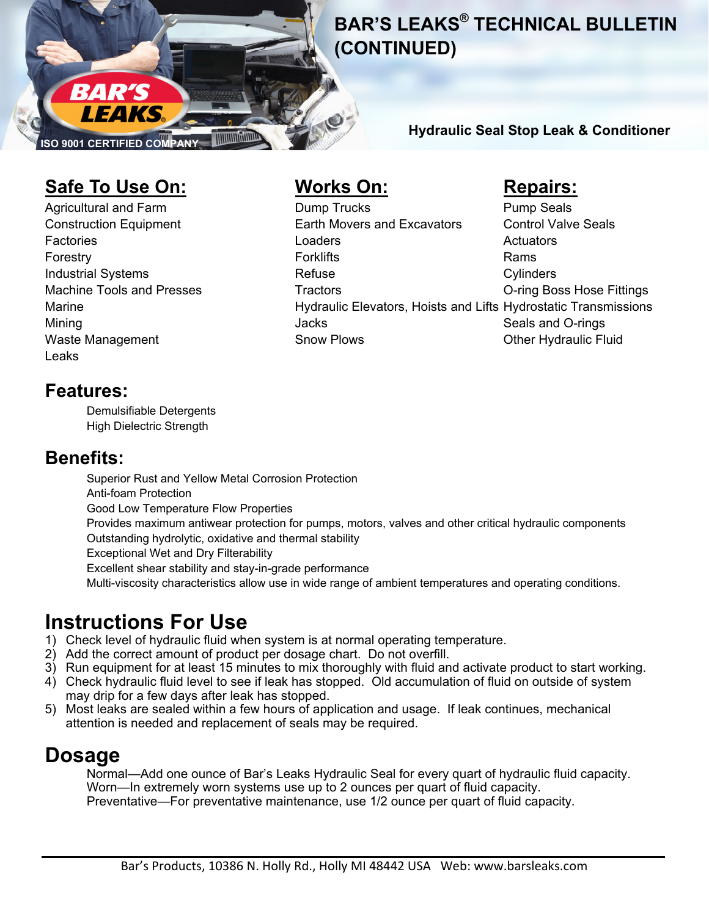

Page 2 **BAR'S LEAKS® TECHNICAL BULLETIN (CONTINUED)** 

**Hydraulic Seal Stop Leak & Conditioner** 

## **Safe To Use On: Works On: Repairs:**

Leaks

Agricultural and Farm **Community Community** Dump Trucks **Pump Seals** Construction Equipment Earth Movers and Excavators Control Valve Seals Factories **Executive Contract Contract Contract Contract Contract Contract Contract Contract Contract Contract Contract Contract Contract Contract Contract Contract Contract Contract Contract Contract Contract Contract Con** Forestry **Fortune Community** Forklifts **Rams** Industrial Systems **Refuse** Refuse Cylinders Machine Tools and Presses Tractors Tractors Tractors Co-ring Boss Hose Fittings Marine Hydraulic Elevators, Hoists and Lifts Hydrostatic Transmissions Mining **Internal Communist Communist Communist Communist Communist Communist Communist Communist Communist Communist Communist Communist Communist Communist Communist Communist Communist Communist Communist Communist Commu** Waste Management **Snow Plows** Snow Plows Cher Hydraulic Fluid

### **Features:**

 Demulsifiable Detergents High Dielectric Strength

## **Benefits:**

 Superior Rust and Yellow Metal Corrosion Protection Anti-foam Protection Good Low Temperature Flow Properties Provides maximum antiwear protection for pumps, motors, valves and other critical hydraulic components Outstanding hydrolytic, oxidative and thermal stability Exceptional Wet and Dry Filterability Excellent shear stability and stay-in-grade performance Multi-viscosity characteristics allow use in wide range of ambient temperatures and operating conditions.

# **Instructions For Use**

- 1) Check level of hydraulic fluid when system is at normal operating temperature.
- 2) Add the correct amount of product per dosage chart. Do not overfill.
- 3) Run equipment for at least 15 minutes to mix thoroughly with fluid and activate product to start working.
- 4) Check hydraulic fluid level to see if leak has stopped. Old accumulation of fluid on outside of system may drip for a few days after leak has stopped.
- 5) Most leaks are sealed within a few hours of application and usage. If leak continues, mechanical attention is needed and replacement of seals may be required.

# **Dosage**

 Normal—Add one ounce of Bar's Leaks Hydraulic Seal for every quart of hydraulic fluid capacity. Worn—In extremely worn systems use up to 2 ounces per quart of fluid capacity. Preventative—For preventative maintenance, use 1/2 ounce per quart of fluid capacity.